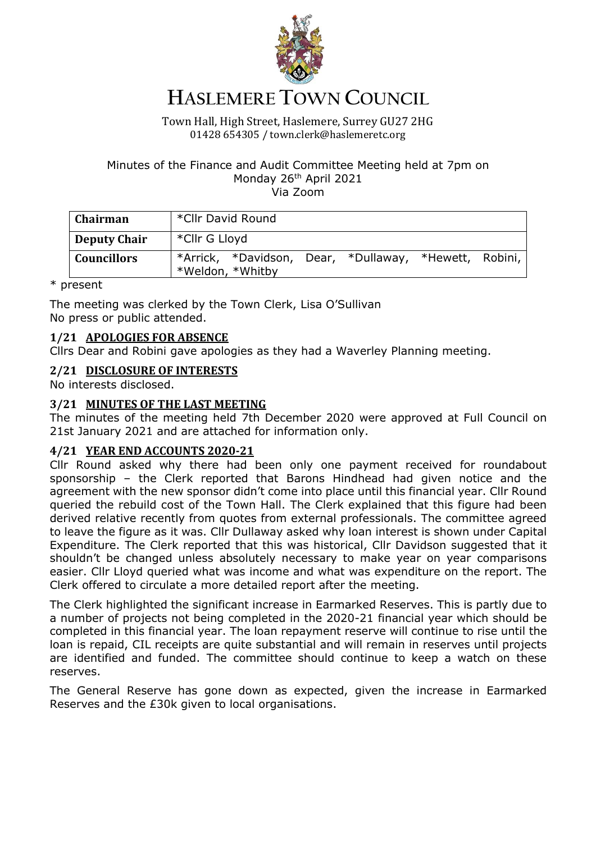

# **HASLEMERE TOWN COUNCIL**

#### Town Hall, High Street, Haslemere, Surrey GU27 2HG 01428 654305 / town.clerk@haslemeretc.org

#### Minutes of the Finance and Audit Committee Meeting held at 7pm on Monday 26<sup>th</sup> April 2021 Via Zoom

| Chairman            | *Cllr David Round |  |  |                                                       |  |  |
|---------------------|-------------------|--|--|-------------------------------------------------------|--|--|
| <b>Deputy Chair</b> | *Cllr G Lloyd     |  |  |                                                       |  |  |
| <b>Councillors</b>  | *Weldon, *Whitby  |  |  | *Arrick, *Davidson, Dear, *Dullaway, *Hewett, Robini, |  |  |

\* present

The meeting was clerked by the Town Clerk, Lisa O'Sullivan No press or public attended.

# **1/21 APOLOGIES FOR ABSENCE**

Cllrs Dear and Robini gave apologies as they had a Waverley Planning meeting.

# **2/21 DISCLOSURE OF INTERESTS**

No interests disclosed.

# **3/21 MINUTES OF THE LAST MEETING**

The minutes of the meeting held 7th December 2020 were approved at Full Council on 21st January 2021 and are attached for information only.

#### **4/21 YEAR END ACCOUNTS 2020-21**

Cllr Round asked why there had been only one payment received for roundabout sponsorship – the Clerk reported that Barons Hindhead had given notice and the agreement with the new sponsor didn't come into place until this financial year. Cllr Round queried the rebuild cost of the Town Hall. The Clerk explained that this figure had been derived relative recently from quotes from external professionals. The committee agreed to leave the figure as it was. Cllr Dullaway asked why loan interest is shown under Capital Expenditure. The Clerk reported that this was historical, Cllr Davidson suggested that it shouldn't be changed unless absolutely necessary to make year on year comparisons easier. Cllr Lloyd queried what was income and what was expenditure on the report. The Clerk offered to circulate a more detailed report after the meeting.

The Clerk highlighted the significant increase in Earmarked Reserves. This is partly due to a number of projects not being completed in the 2020-21 financial year which should be completed in this financial year. The loan repayment reserve will continue to rise until the loan is repaid, CIL receipts are quite substantial and will remain in reserves until projects are identified and funded. The committee should continue to keep a watch on these reserves.

The General Reserve has gone down as expected, given the increase in Earmarked Reserves and the £30k given to local organisations.